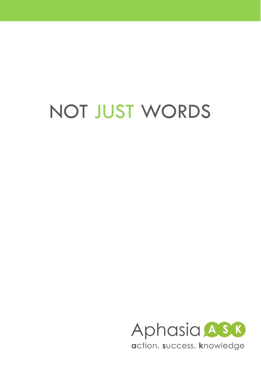# NOT JUST WORDS

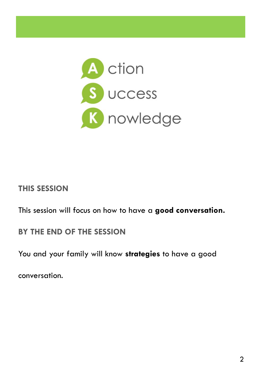

#### **THIS SESSION**

This session will focus on how to have a **good conversation.**

#### **BY THE END OF THE SESSION**

You and your family will know **strategies** to have a good

conversation.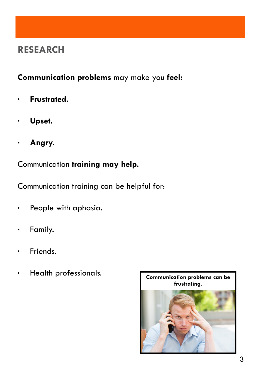#### **RESEARCH**

#### **Communication problems** may make you **feel:**

- **Frustrated.**
- **Upset.**
- **Angry.**

Communication **training may help.** 

Communication training can be helpful for:

- People with aphasia.
- · Family.
- · Friends.
- 

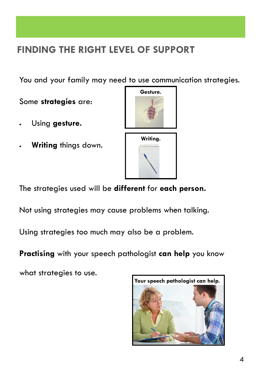#### **FINDING THE RIGHT LEVEL OF SUPPORT**

You and your family may need to use communication strategies.

Some **strategies** are:

- Using **gesture.**
- **Writing** things down.



The strategies used will be **different** for **each person.**

Not using strategies may cause problems when talking.

Using strategies too much may also be a problem.

**Practising** with your speech pathologist **can help** you know

what strategies to use.

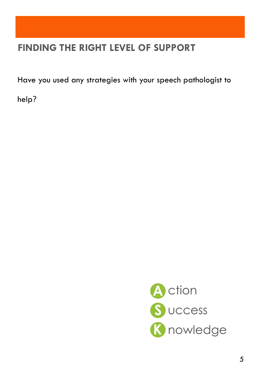#### **FINDING THE RIGHT LEVEL OF SUPPORT**

Have you used any strategies with your speech pathologist to

help?

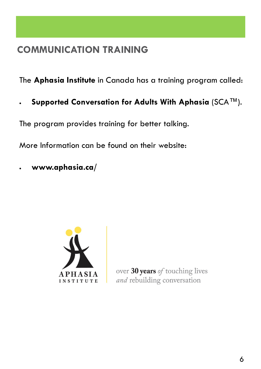The **Aphasia Institute** in Canada has a training program called:

**Supported Conversation for Adults With Aphasia** (SCA™).

The program provides training for better talking.

More Information can be found on their website:

**www.aphasia.ca/**



over 30 years of touching lives and rebuilding conversation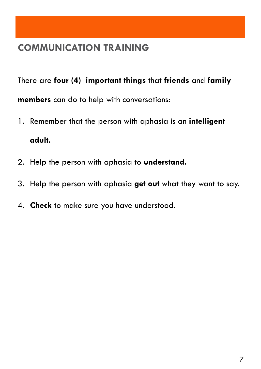There are **four (4) important things** that **friends** and **family members** can do to help with conversations:

- 1. Remember that the person with aphasia is an **intelligent adult.**
- 2. Help the person with aphasia to **understand.**
- 3. Help the person with aphasia **get out** what they want to say.
- 4. **Check** to make sure you have understood.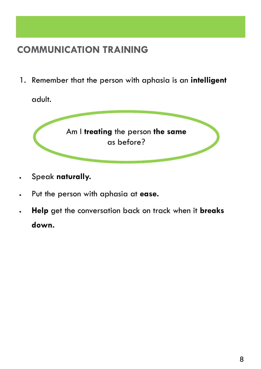1. Remember that the person with aphasia is an **intelligent** 

adult.



- Speak **naturally.**
- Put the person with aphasia at **ease.**
- **Help** get the conversation back on track when it **breaks down.**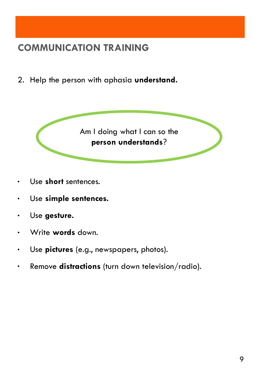2. Help the person with aphasia **understand.** 



- Use **short** sentences.
- Use **simple sentences.**
- Use **gesture.**
- Write **words** down.
- Use **pictures** (e.g., newspapers, photos).
- Remove **distractions** (turn down television/radio).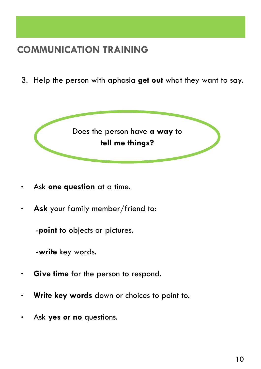3. Help the person with aphasia **get out** what they want to say.



- Ask **one question** at a time.
- **Ask** your family member/friend to:

-**point** to objects or pictures.

-**write** key words.

- **Give time** for the person to respond.
- **Write key words** down or choices to point to.
- Ask **yes or no** questions.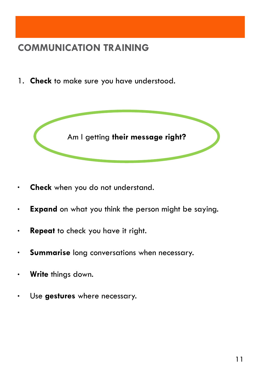1. **Check** to make sure you have understood.



- **Check** when you do not understand.
- **Expand** on what you think the person might be saying.
- **Repeat** to check you have it right.
- **Summarise** long conversations when necessary.
- **Write** things down.
- Use **gestures** where necessary.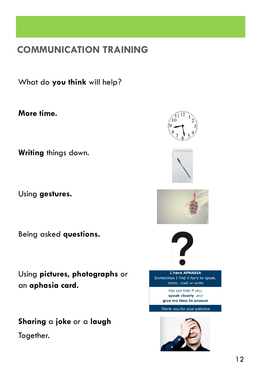What do **you think** will help?

**More time.**

**Writing** things down.

Using **gestures.**

Being asked **questions.**

Using **pictures, photographs** or an **aphasia card.**

**Sharing** a **joke** or a **laugh** Together.









I have APHASIA Sometimes I find it hard to speak, listen, read or write

> You can help if you: speak clearly and give me time to answer

Thank you for your patience

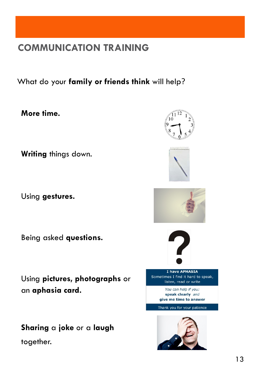What do your **family or friends think** will help?

**More time.**

**Writing** things down.

Using **gestures.**

Being asked **questions.**

Using **pictures, photographs** or an **aphasia card.**

**Sharing** a **joke** or a **laugh** together.

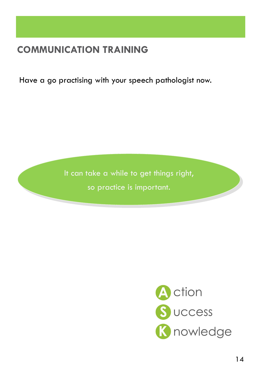Have a go practising with your speech pathologist now.

It can take a while to get things right, so practice is important.

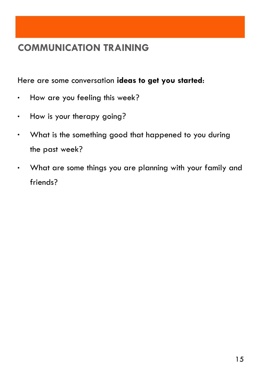Here are some conversation **ideas to get you started**:

- . How are you feeling this week?
- How is your therapy going?
- What is the something good that happened to you during the past week?
- What are some things you are planning with your family and friends?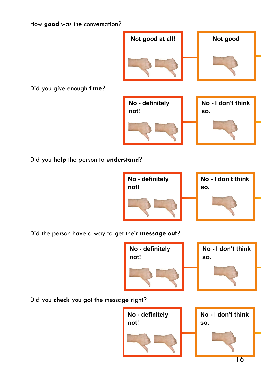**No - I don't think** 

**so.**

How **good** was the conversation?

Did you give enough **time**?

Did you **help** the person to **understand**?

Did the person have a way to get their **message out**?

Did you **check** you got the message right?







**No - definitely** 

**not!**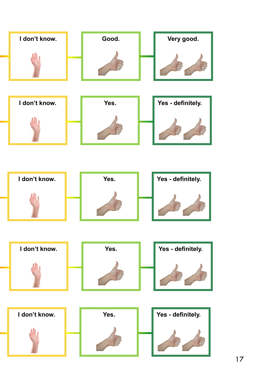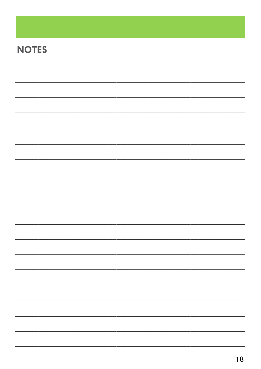## **NOTES**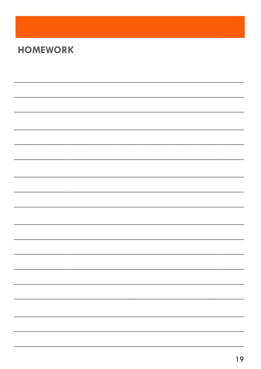## **HOMEWORK**